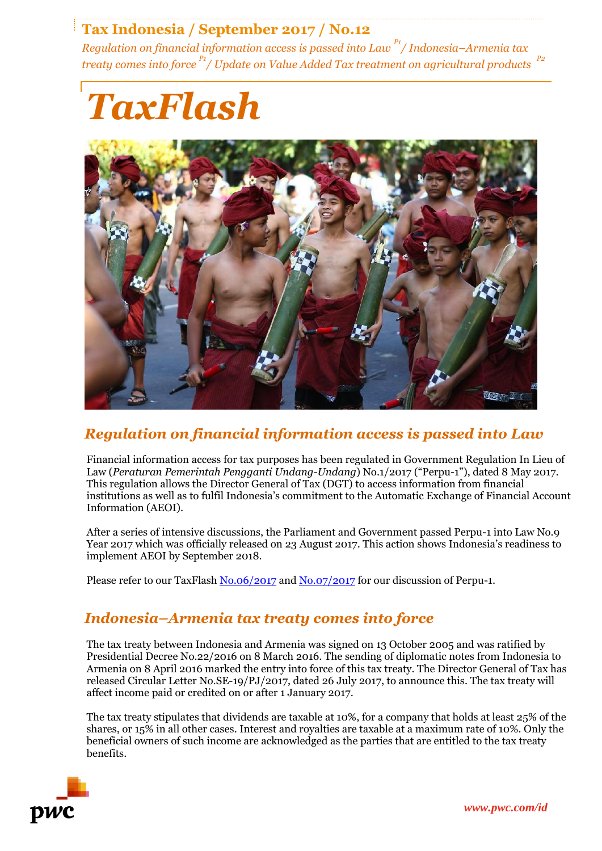## **Tax Indonesia / September 2017 / No.12**

*Regulation on financial information access is passed into Law P1 / Indonesia–Armenia tax treaty comes into force P1 / Update on Value Added Tax treatment on agricultural products P2*





## *Regulation on financial information access is passed into Law*

Financial information access for tax purposes has been regulated in Government Regulation In Lieu of Law (*Peraturan Pemerintah Pengganti Undang-Undang*) No.1/2017 ("Perpu-1"), dated 8 May 2017. This regulation allows the Director General of Tax (DGT) to access information from financial institutions as well as to fulfil Indonesia's commitment to the Automatic Exchange of Financial Account Information (AEOI).

After a series of intensive discussions, the Parliament and Government passed Perpu-1 into Law No.9 Year 2017 which was officially released on 23 August 2017. This action shows Indonesia's readiness to implement AEOI by September 2018.

Please refer to our TaxFlash [No.06/2017](http://www.pwc.com/id/en/taxflash/assets/english/2017/taxflash-2017-06.pdf) and [No.07/2017](http://www.pwc.com/id/en/taxflash/assets/english/2017/taxflash-2017-07.pdf) for our discussion of Perpu-1.

## *Indonesia–Armenia tax treaty comes into force*

The tax treaty between Indonesia and Armenia was signed on 13 October 2005 and was ratified by Presidential Decree No.22/2016 on 8 March 2016. The sending of diplomatic notes from Indonesia to Armenia on 8 April 2016 marked the entry into force of this tax treaty. The Director General of Tax has released Circular Letter No.SE-19/PJ/2017, dated 26 July 2017, to announce this. The tax treaty will affect income paid or credited on or after 1 January 2017.

The tax treaty stipulates that dividends are taxable at 10%, for a company that holds at least 25% of the shares, or 15% in all other cases. Interest and royalties are taxable at a maximum rate of 10%. Only the beneficial owners of such income are acknowledged as the parties that are entitled to the tax treaty benefits.

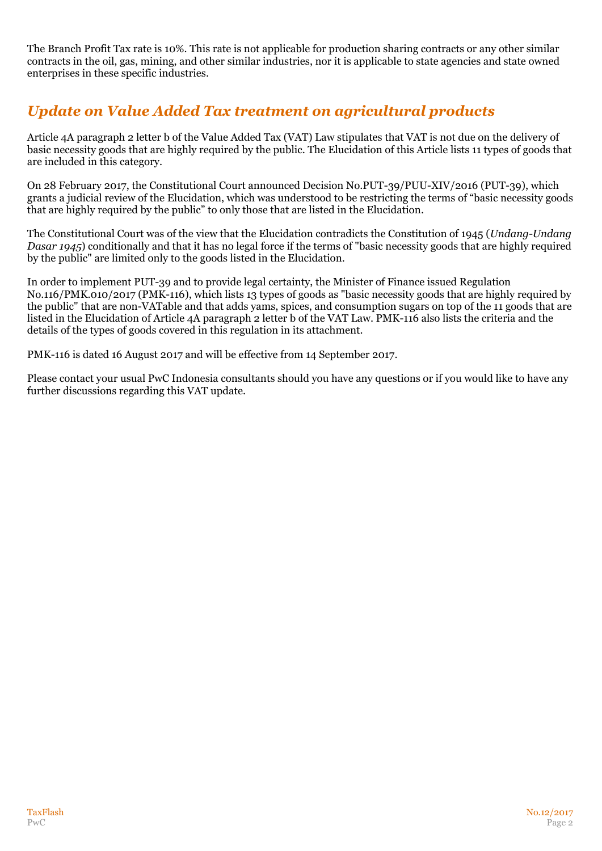The Branch Profit Tax rate is 10%. This rate is not applicable for production sharing contracts or any other similar contracts in the oil, gas, mining, and other similar industries, nor it is applicable to state agencies and state owned enterprises in these specific industries.

# *Update on Value Added Tax treatment on agricultural products*

Article 4A paragraph 2 letter b of the Value Added Tax (VAT) Law stipulates that VAT is not due on the delivery of basic necessity goods that are highly required by the public. The Elucidation of this Article lists 11 types of goods that are included in this category.

On 28 February 2017, the Constitutional Court announced Decision No.PUT-39/PUU-XIV/2016 (PUT-39), which grants a judicial review of the Elucidation, which was understood to be restricting the terms of "basic necessity goods that are highly required by the public" to only those that are listed in the Elucidation.

The Constitutional Court was of the view that the Elucidation contradicts the Constitution of 1945 (*Undang-Undang Dasar 1945*) conditionally and that it has no legal force if the terms of "basic necessity goods that are highly required by the public" are limited only to the goods listed in the Elucidation.

In order to implement PUT-39 and to provide legal certainty, the Minister of Finance issued Regulation No.116/PMK.010/2017 (PMK-116), which lists 13 types of goods as "basic necessity goods that are highly required by the public" that are non-VATable and that adds yams, spices, and consumption sugars on top of the 11 goods that are listed in the Elucidation of Article 4A paragraph 2 letter b of the VAT Law. PMK-116 also lists the criteria and the details of the types of goods covered in this regulation in its attachment.

PMK-116 is dated 16 August 2017 and will be effective from 14 September 2017.

Please contact your usual PwC Indonesia consultants should you have any questions or if you would like to have any further discussions regarding this VAT update.